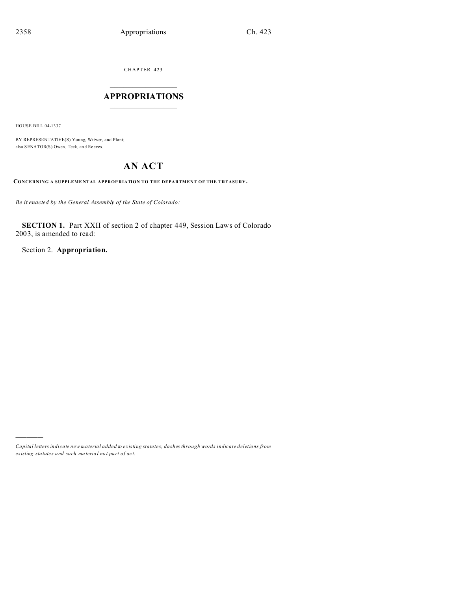CHAPTER 423

# $\overline{\phantom{a}}$  , where  $\overline{\phantom{a}}$ **APPROPRIATIONS**  $\_$   $\_$   $\_$   $\_$   $\_$   $\_$   $\_$   $\_$

HOUSE BILL 04-1337

)))))

BY REPRESENTATIVE(S) Young, Witwer, and Plant; also SENATOR(S) Owen, Teck, an d Reeves.

# **AN ACT**

**CONCERNING A SUPPLEME NTAL APPROP RIATION TO THE DEPARTMENT OF THE TREASURY.**

*Be it enacted by the General Assembly of the State of Colorado:*

**SECTION 1.** Part XXII of section 2 of chapter 449, Session Laws of Colorado 2003, is amended to read:

Section 2. **Appropriation.**

*Capital letters indicate new material added to existing statutes; dashes through words indicate deletions from ex isting statute s and such ma teria l no t pa rt of ac t.*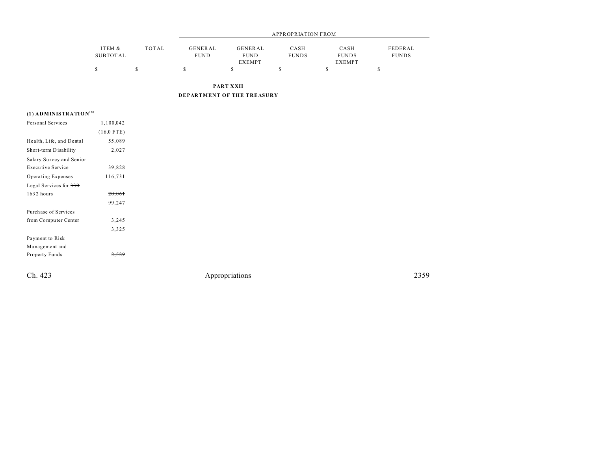|          |       | APPROPRIATION FROM |               |              |               |              |  |
|----------|-------|--------------------|---------------|--------------|---------------|--------------|--|
| ITEM &   | TOTAL | GENERAL            | GENERAL       | CASH         | CASH          | FEDERAL      |  |
| SUBTOTAL |       | <b>FUND</b>        | <b>FUND</b>   | <b>FUNDS</b> | <b>FUNDS</b>  | <b>FUNDS</b> |  |
|          |       |                    | <b>EXEMPT</b> |              | <b>EXEMPT</b> |              |  |
|          |       |                    |               |              |               |              |  |

**PART XXII**

**DEPARTMENT OF THE TREASURY**

### **(1) ADMINISTRATION<sup>187</sup>**

| Personal Services        | 1,100,042    |
|--------------------------|--------------|
|                          | $(16.0$ FTE) |
| Health, Life, and Dental | 55,089       |
| Short-term Disability    | 2,027        |
| Salary Survey and Senior |              |
| <b>Executive Service</b> | 39,828       |
| Operating Expenses       | 116,731      |
| Legal Services for $330$ |              |
| 1632 hours               | 20,061       |
|                          | 99,247       |
| Purchase of Services     |              |
| from Computer Center     | 3,245        |
|                          | 3,325        |
| Payment to Risk          |              |
| Management and           |              |
| Property Funds           |              |
|                          |              |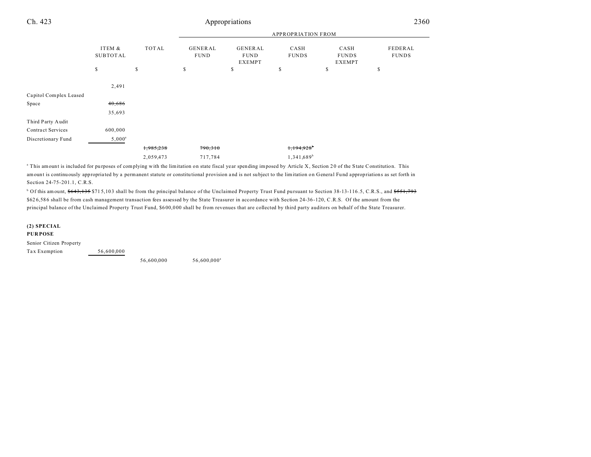## Ch. 423 Appropriations

|                          |                           |             | <b>APPROPRIATION FROM</b> |                                                |                        |                                       |                         |  |
|--------------------------|---------------------------|-------------|---------------------------|------------------------------------------------|------------------------|---------------------------------------|-------------------------|--|
|                          | ITEM &<br><b>SUBTOTAL</b> | TOTAL       | GENERAL<br><b>FUND</b>    | <b>GENERAL</b><br><b>FUND</b><br><b>EXEMPT</b> | CASH<br><b>FUNDS</b>   | CASH<br><b>FUNDS</b><br><b>EXEMPT</b> | FEDERAL<br><b>FUNDS</b> |  |
|                          | \$                        | $\mathbb S$ | \$                        | S                                              | \$                     | \$                                    | \$                      |  |
|                          | 2,491                     |             |                           |                                                |                        |                                       |                         |  |
| Capitol Complex Leased   |                           |             |                           |                                                |                        |                                       |                         |  |
| Space                    | 40,686                    |             |                           |                                                |                        |                                       |                         |  |
|                          | 35,693                    |             |                           |                                                |                        |                                       |                         |  |
| Third Party Audit        |                           |             |                           |                                                |                        |                                       |                         |  |
| <b>Contract Services</b> | 600,000                   |             |                           |                                                |                        |                                       |                         |  |
| Discretionary Fund       | $5,000^{\rm a}$           |             |                           |                                                |                        |                                       |                         |  |
|                          |                           | 1,985,238   | 790,310                   |                                                | 1,194,928              |                                       |                         |  |
|                          |                           | 2,059,473   | 717,784                   |                                                | 1,341,689 <sup>b</sup> |                                       |                         |  |

<sup>a</sup> This amount is included for purposes of complying with the limitation on state fiscal year spending imposed by Article X, Section 20 of the State Constitution. This amount is continuously appropria ted by a permanent statute or constitu tional provision a nd is not su bject to the limitation on General Fund appropriations as set forth in Section 24-75-201.1, C.R.S.

<sup>b</sup> Of this amount, \$643,135 \$715,103 shall be from the principal balance of the Unclaimed Property Trust Fund pursuant to Section 38-13-116.5, C.R.S., and <del>\$551,793</del> \$62 6,58 6 shall be from cash management transaction fees assessed by the State Treasurer in accordance with Section 24-36 -120, C.R.S. Of the amount from the principal balance of the Unclaimed Property Trust Fund, \$600,000 shall be from revenues that are collected by third party auditors on behalf of the State Treasurer.

#### **(2) SPECIAL PUR POSE**

Senior Citizen Property Tax Exemption 56,600,000

56,600,000 56,600,000<sup>a</sup>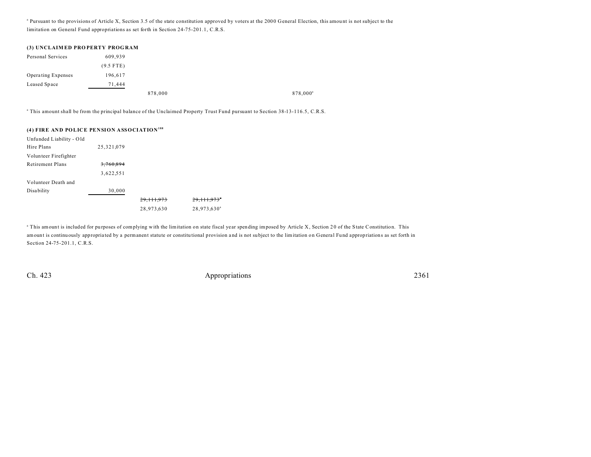<sup>a</sup> Pursuant to the provisions of Article X, Section 3.5 of the state constitution approved by voters at the 2000 General Election, this amount is not subject to the limitation on General Fund appropriations as set forth in Section 24-75-201.1, C.R.S.

| (3) UNCLAIMED PROPERTY PROGRAM |             |         |                      |
|--------------------------------|-------------|---------|----------------------|
| Personal Services              | 609.939     |         |                      |
|                                | $(9.5$ FTE) |         |                      |
| <b>Operating Expenses</b>      | 196.617     |         |                      |
| Leased Space                   | 71.444      |         |                      |
|                                |             | 878,000 | 878,000 <sup>a</sup> |

a This amount shall be from the principal balance of the Unclaimed Property Trust Fund pursuant to Section 38-13-116.5, C.R.S.

#### **(4) FIRE AND POLICE PENSION ASSOCIATION<sup>188</sup>**

| Unfunded Liability - Old |              |              |                           |
|--------------------------|--------------|--------------|---------------------------|
| Hire Plans               | 25, 321, 079 |              |                           |
| Volunteer Firefighter    |              |              |                           |
| Retirement Plans         | 3.760.894    |              |                           |
|                          | 3,622,551    |              |                           |
| Volunteer Death and      |              |              |                           |
| <b>Disability</b>        | 30,000       |              |                           |
|                          |              | 29, 111, 973 | 29, 111, 973 <sup>*</sup> |
|                          |              | 28,973,630   | 28,973,630 <sup>a</sup>   |

<sup>a</sup> This amount is included for purposes of complying with the limitation on state fiscal year spending imposed by Article X, Section 20 of the State Constitution. This amount is continuously appropria ted by a permanent statute or constitu tional provision a nd is not su bject to the limitation on General Fund appropriations as set forth in Section 24-75-201.1, C.R.S.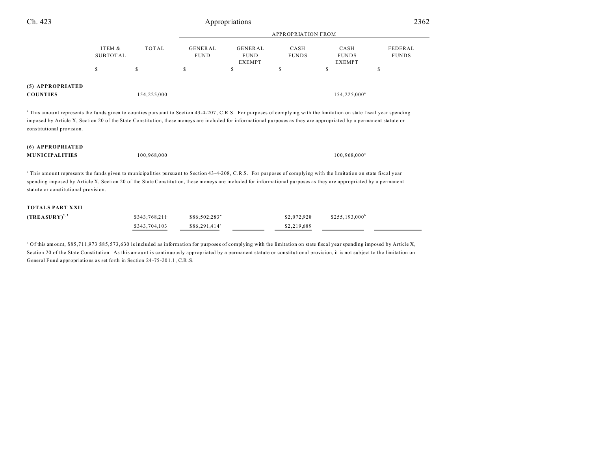| Ch. 423                                                                                                                                                                                                                                                                                                                                                                                    |                           |               | Appropriations                | 2362                                           |                      |                                       |                                |
|--------------------------------------------------------------------------------------------------------------------------------------------------------------------------------------------------------------------------------------------------------------------------------------------------------------------------------------------------------------------------------------------|---------------------------|---------------|-------------------------------|------------------------------------------------|----------------------|---------------------------------------|--------------------------------|
|                                                                                                                                                                                                                                                                                                                                                                                            |                           |               |                               |                                                |                      |                                       |                                |
|                                                                                                                                                                                                                                                                                                                                                                                            | ITEM &<br><b>SUBTOTAL</b> | TOTAL         | <b>GENERAL</b><br><b>FUND</b> | <b>GENERAL</b><br><b>FUND</b><br><b>EXEMPT</b> | CASH<br><b>FUNDS</b> | CASH<br><b>FUNDS</b><br><b>EXEMPT</b> | <b>FEDERAL</b><br><b>FUNDS</b> |
|                                                                                                                                                                                                                                                                                                                                                                                            | \$                        | \$            | $\mathbb S$                   | \$                                             | \$                   | \$                                    | \$                             |
| (5) APPROPRIATED<br><b>COUNTIES</b>                                                                                                                                                                                                                                                                                                                                                        |                           | 154,225,000   |                               |                                                |                      | 154,225,000 <sup>a</sup>              |                                |
| <sup>a</sup> This amount represents the funds given to counties pursuant to Section 43-4-207, C.R.S. For purposes of complying with the limitation on state fiscal year spending<br>imposed by Article X, Section 20 of the State Constitution, these moneys are included for informational purposes as they are appropriated by a permanent statute or<br>constitutional provision.       |                           |               |                               |                                                |                      |                                       |                                |
| (6) APPROPRIATED<br><b>MUNICIPALITIES</b>                                                                                                                                                                                                                                                                                                                                                  |                           | 100,968,000   |                               |                                                |                      | 100,968,000 <sup>a</sup>              |                                |
| <sup>a</sup> This amount represents the funds given to municipalities pursuant to Section 43-4-208, C.R.S. For purposes of complying with the limitation on state fiscal year<br>spending imposed by Article X, Section 20 of the State Constitution, these moneys are included for informational purposes as they are appropriated by a permanent<br>statute or constitutional provision. |                           |               |                               |                                                |                      |                                       |                                |
| <b>TOTALS PART XXII</b>                                                                                                                                                                                                                                                                                                                                                                    |                           |               |                               |                                                |                      |                                       |                                |
| $(TREASURY)^{2,3}$                                                                                                                                                                                                                                                                                                                                                                         |                           |               |                               |                                                |                      | $$255,193,000$ <sup>b</sup>           |                                |
|                                                                                                                                                                                                                                                                                                                                                                                            |                           | \$343,704,103 | \$86,291,414 <sup>a</sup>     |                                                | \$2,219,689          |                                       |                                |
|                                                                                                                                                                                                                                                                                                                                                                                            |                           |               |                               |                                                |                      |                                       |                                |

<sup>a</sup> Of this amount, \$85,711,973 \$85,573,630 is included as information for purposes of complying with the limitation on state fiscal year spending imposed by Article X, Section 20 of the State Constitution. As this amount is continuously appropriated by a permanent statute or constitutional provision, it is not subject to the limitation on General Fund appropriations as set forth in Section 24 -75 -20 1.1 , C.R.S.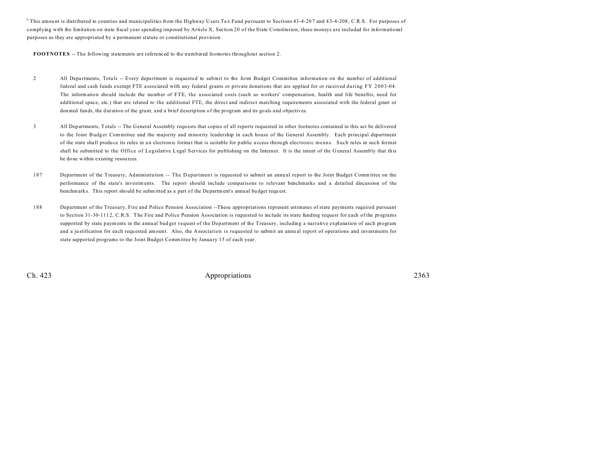<sup>b</sup> This amount is distributed to counties and municipalities from the Highway Users Tax Fund pursuant to Sections 43-4-207 and 43-4-208, C.R.S. For purposes of complying with the limitation on state fiscal year spending imposed by Article X, Section 20 of the State Constitution, these moneys are included for informational purposes as they are appropriated by a permanent statute or constitutional provision.

**FOOTNOTES** -- The following statements are referenced to the numbered footnotes throughout section 2.

- 2 All Departments, Totals -- Every department is requested to submit to the Joint Budget Committee information on the number of additional federal and cash funds exempt FTE a ssociated with any federal grants or private donations that are applied for or received during FY 2003-04. The information should include the number of FTE, the associated costs (such as workers' compensation, health and life benefits, need for additional space, etc.) that are related to the additional FTE, the direct and indirect matching requirements associated with the federal grant or donated funds, the duration of the grant, and a brief description of the program and its goals and objectives.
- 3 All Departments, Totals -- The General Assembly requ ests that copies of all reports requested in other footnotes contained in this act be delivered to the Joint Budg et Committee and the majority and minority leadership in each house of the General Assembly. Each principal department of the state sha ll produ ce its rules in a n electronic forma t that is suitable for public a ccess through electronic means. Such rules in such format shall be submitted to the Office of Legislative Legal Services for pu blishing on the Internet. It is the intent of the G eneral Assembly that this be done within existing resources.
- 187 Department of the Treasury, Administration -- The Department is requested to submit an annual report to the Joint Budget Committee on the performance of the state's investments. The report should include comparisons to relevant benchmarks and a detailed discussion of the benchmark s. This report should be submitted as a part of the Department's annu al bu dget requ est.
- 188 Department of the Treasury, Fire and Police Pension Association --These appropriations represent estimates of state payments required pursuant to Section 31-30-111 2, C.R.S. The Fire and Police Pension Association is requested to include its state funding request for each of the programs supported by state payments in the annual bud get request of the Department of the Treasury, including a narrative explanation of each program and a justification for each requested amount. Also, the Association is requested to submit an annual report of operations and investments for state supported programs to the Joint Budget Committee by Janua ry 15 of each year.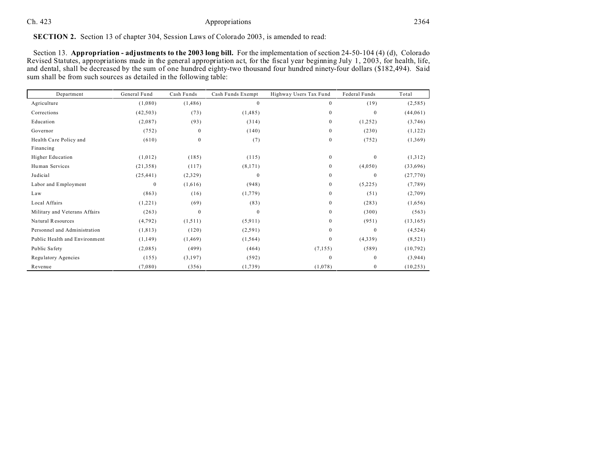## Ch. 423 Appropriations 2364

## **SECTION 2.** Section 13 of chapter 304, Session Laws of Colorado 2003, is amended to read:

Section 13. **Appropriation - adjustments to the 2003 long bill.** For the implementation of section 24-50-104 (4) (d), Colorado Revised Statutes, appropriations made in the general appropriation act, for the fiscal year beginning July 1, 2003, for health, life, and dental, shall be decreased by the sum of one hundred eighty-two thousand four hundred ninety-four dollars (\$182,494). Said sum shall be from such sources as detailed in the following table:

| Department                    | General Fund | Cash Funds   | Cash Funds Exempt | Highway Users Tax Fund | Federal Funds | Total     |
|-------------------------------|--------------|--------------|-------------------|------------------------|---------------|-----------|
| Agriculture                   | (1,080)      | (1, 486)     | $\mathbf{0}$      | $\boldsymbol{0}$       | (19)          | (2,585)   |
| Corrections                   | (42, 503)    | (73)         | (1, 485)          | $\mathbf{0}$           | $\theta$      | (44,061)  |
| Education                     | (2,087)      | (93)         | (314)             | $\mathbf{0}$           | (1,252)       | (3,746)   |
| Governor                      | (752)        | 0            | (140)             | $\boldsymbol{0}$       | (230)         | (1,122)   |
| Health Care Policy and        | (610)        | $\mathbf{0}$ | (7)               | $\boldsymbol{0}$       | (752)         | (1,369)   |
| Financing                     |              |              |                   |                        |               |           |
| Higher Education              | (1,012)      | (185)        | (115)             | $\boldsymbol{0}$       | $\mathbf{0}$  | (1,312)   |
| Human Services                | (21,358)     | (117)        | (8,171)           | $\boldsymbol{0}$       | (4,050)       | (33,696)  |
| Judicial                      | (25, 441)    | (2,329)      | $\mathbf{0}$      | $\boldsymbol{0}$       | $\mathbf{0}$  | (27,770)  |
| Labor and Employment          | $\mathbf{0}$ | (1,616)      | (948)             | $\boldsymbol{0}$       | (5,225)       | (7,789)   |
| Law                           | (863)        | (16)         | (1,779)           | $\boldsymbol{0}$       | (51)          | (2,709)   |
| Local Affairs                 | (1,221)      | (69)         | (83)              | $\boldsymbol{0}$       | (283)         | (1,656)   |
| Military and Veterans Affairs | (263)        | $\mathbf{0}$ | $\Omega$          | $\boldsymbol{0}$       | (300)         | (563)     |
| Natural Resources             | (4,792)      | (1,511)      | (5,911)           | $\boldsymbol{0}$       | (951)         | (13, 165) |
| Personnel and Administration  | (1, 813)     | (120)        | (2,591)           | $\boldsymbol{0}$       | $\theta$      | (4,524)   |
| Public Health and Environment | (1,149)      | (1, 469)     | (1, 564)          | $\boldsymbol{0}$       | (4,339)       | (8,521)   |
| Public Safety                 | (2,085)      | (499)        | (464)             | (7,155)                | (589)         | (10, 792) |
| Regulatory Agencies           | (155)        | (3,197)      | (592)             | $\boldsymbol{0}$       | $\mathbf{0}$  | (3,944)   |
| Revenue                       | (7,080)      | (356)        | (1,739)           | (1,078)                | $\mathbf{0}$  | (10, 253) |